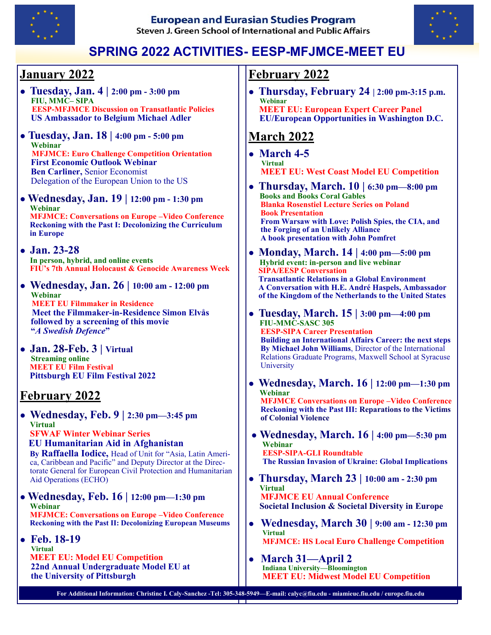

**European and Eurasian Studies Program** Steven J. Green School of International and Public Affairs



# **SPRING 2022 ACTIVITIES- EESP-MFJMCE-MEET EU**

## **January 2022**

- **Tuesday, Jan. 4 | 2:00 pm - 3:00 pm FIU, MMC– SIPA EESP-MFJMCE Discussion on Transatlantic Policies US Ambassador to Belgium Michael Adler**
- **● Tuesday, Jan. 18 | 4:00 pm - 5:00 pm Webinar MFJMCE: Euro Challenge Competition Orientation First Economic Outlook Webinar Ben Carliner,** Senior Economist Delegation of the European Union to the US
- **Wednesday, Jan. 19 | 12:00 pm - 1:30 pm Webinar MFJMCE: Conversations on Europe –Video Conference Reckoning with the Past I: Decolonizing the Curriculum in Europe**
- **Jan. 23-28 In person, hybrid, and online events FIU's 7th Annual Holocaust & Genocide Awareness Week**
- **Wednesday, Jan. 26 | 10:00 am - 12:00 pm Webinar MEET EU Filmmaker in Residence Meet the Filmmaker-in-Residence Simon Elvås**

 **followed by a screening of this movie "***A Swedish Defence***"**

**● Jan. 28-Feb. 3 | Virtual Streaming online MEET EU Film Festival Pittsburgh EU Film Festival 2022**

## **February 2022**

- **Wednesday, Feb. 9 | 2:30 pm—3:45 pm Virtual SFWAF Winter Webinar Series EU Humanitarian Aid in Afghanistan By Raffaella Iodice,** Head of Unit for "Asia, Latin America, Caribbean and Pacific" and Deputy Director at the Directorate General for European Civil Protection and Humanitarian Aid Operations (ECHO)
- **Wednesday, Feb. 16 | 12:00 pm—1:30 pm Webinar MFJMCE: Conversations on Europe –Video Conference Reckoning with the Past II: Decolonizing European Museums**
- **Feb. 18-19 Virtual MEET EU: Model EU Competition 22nd Annual Undergraduate Model EU at the University of Pittsburgh**

#### **February 2022**

**● Thursday, February 24 | 2:00 pm-3:15 p.m. Webinar**

 **MEET EU: European Expert Career Panel EU/European Opportunities in Washington D.C.**

## **March 2022**

- **March 4-5 Virtual MEET EU: West Coast Model EU Competition**
- **Thursday, March. 10 | 6:30 pm—8:00 pm Books and Books Coral Gables Blanka Rosenstiel Lecture Series on Poland Book Presentation From Warsaw with Love: Polish Spies, the CIA, and the Forging of an Unlikely Alliance A book presentation with John Pomfret**
- **Monday, March. 14 | 4:00 pm—5:00 pm Hybrid event: in-person and live webinar SIPA/EESP Conversation Transatlantic Relations in a Global Environment A Conversation with H.E. André Haspels, Ambassador of the Kingdom of the Netherlands to the United States**
- **Tuesday, March. 15 | 3:00 pm—4:00 pm FIU-MMC-SASC 305 EESP-SIPA Career Presentation Building an International Affairs Career: the next steps By Michael John Williams**, Director of the International Relations Graduate Programs, Maxwell School at Syracuse University
- **Wednesday, March. 16 | 12:00 pm—1:30 pm Webinar MFJMCE Conversations on Europe –Video Conference Reckoning with the Past III: Reparations to the Victims of Colonial Violence**
- **● Wednesday, March. 16 | 4:00 pm—5:30 pm Webinar EESP-SIPA-GLI Roundtable The Russian Invasion of Ukraine: Global Implications**
- **Thursday, March 23 | 10:00 am - 2:30 pm Virtual MFJMCE EU Annual Conference Societal Inclusion & Societal Diversity in Europe**
- **Wednesday, March 30 | 9:00 am - 12:30 pm Virtual MFJMCE: HS Local Euro Challenge Competition**
- **March 31—April 2 Indiana University—Bloomington MEET EU: Midwest Model EU Competition**

**For Additional Information: Christine I. Caly-Sanchez -Tel: 305-348-5949—E-mail: calyc@fiu.edu - miamieuc.fiu.edu / europe.fiu.edu**a po p